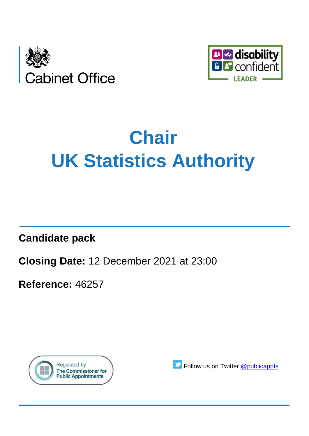



# **Chair UK Statistics Authority**

**Candidate pack**

**Closing Date:** 12 December 2021 at 23:00

**Reference:** 46257



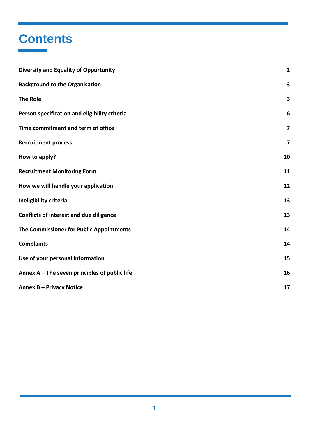### **Contents**

<span id="page-1-0"></span>

| <b>Diversity and Equality of Opportunity</b>    | $\overline{\mathbf{2}}$ |
|-------------------------------------------------|-------------------------|
| <b>Background to the Organisation</b>           | 3                       |
| <b>The Role</b>                                 | 3                       |
| Person specification and eligibility criteria   | 6                       |
| Time commitment and term of office              | $\overline{\mathbf{z}}$ |
| <b>Recruitment process</b>                      | 7                       |
| How to apply?                                   | 10                      |
| <b>Recruitment Monitoring Form</b>              | 11                      |
| How we will handle your application             | 12                      |
| Ineligibility criteria                          | 13                      |
| <b>Conflicts of interest and due diligence</b>  | 13                      |
| The Commissioner for Public Appointments        | 14                      |
| <b>Complaints</b>                               | 14                      |
| Use of your personal information                | 15                      |
| Annex $A$ – The seven principles of public life | 16                      |
| <b>Annex B - Privacy Notice</b>                 | 17                      |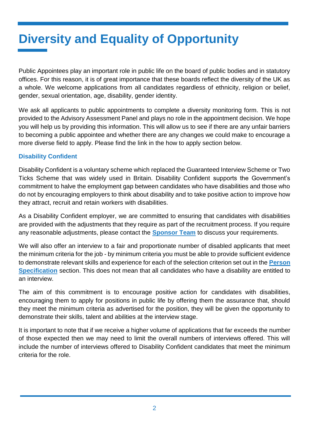# **Diversity and Equality of Opportunity**

Public Appointees play an important role in public life on the board of public bodies and in statutory offices. For this reason, it is of great importance that these boards reflect the diversity of the UK as a whole. We welcome applications from all candidates regardless of ethnicity, religion or belief, gender, sexual orientation, age, disability, gender identity.

We ask all applicants to public appointments to complete a diversity monitoring form. This is not provided to the Advisory Assessment Panel and plays no role in the appointment decision. We hope you will help us by providing this information. This will allow us to see if there are any unfair barriers to becoming a public appointee and whether there are any changes we could make to encourage a more diverse field to apply. Please find the link in the how to apply section below.

#### **Disability Confident**

Disability Confident is a voluntary scheme which replaced the Guaranteed Interview Scheme or Two Ticks Scheme that was widely used in Britain. Disability Confident supports the Government's commitment to halve the employment gap between candidates who have disabilities and those who do not by encouraging employers to think about disability and to take positive action to improve how they attract, recruit and retain workers with disabilities.

As a Disability Confident employer, we are committed to ensuring that candidates with disabilities are provided with the adjustments that they require as part of the recruitment process. If you require any reasonable adjustments, please contact the **[Sponsor Team](#page-9-0)** to discuss your requirements.

We will also offer an interview to a fair and proportionate number of disabled applicants that meet the minimum criteria for the job - by minimum criteria you must be able to provide sufficient evidence to demonstrate relevant skills and experience for each of the selection criterion set out in the **[Person](#page-5-0)  [Specification](#page-5-0)** section. This does not mean that all candidates who have a disability are entitled to an interview.

The aim of this commitment is to encourage positive action for candidates with disabilities, encouraging them to apply for positions in public life by offering them the assurance that, should they meet the minimum criteria as advertised for the position, they will be given the opportunity to demonstrate their skills, talent and abilities at the interview stage.

It is important to note that if we receive a higher volume of applications that far exceeds the number of those expected then we may need to limit the overall numbers of interviews offered. This will include the number of interviews offered to Disability Confident candidates that meet the minimum criteria for the role.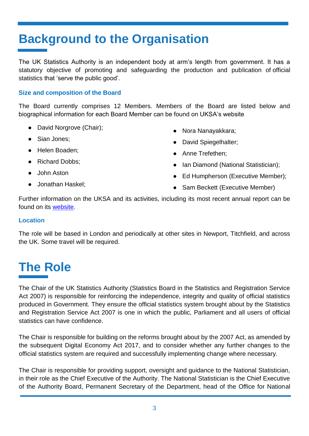## <span id="page-3-0"></span>**Background to the Organisation**

The UK Statistics Authority is an independent body at arm's length from government. It has a statutory objective of promoting and safeguarding the production and publication of official statistics that 'serve the public good'.

#### **Size and composition of the Board**

The Board currently comprises 12 Members. Members of the Board are listed below and biographical information for each Board Member can be found on UKSA's website

- David Norgrove (Chair);
- Sian Jones:
- Helen Boaden;
- Richard Dobbs:
- John Aston
- Jonathan Haskel;
- Nora Nanayakkara;
- David Spiegelhalter;
- Anne Trefethen;
- Ian Diamond (National Statistician);
- Ed Humpherson (Executive Member);
- **Sam Beckett (Executive Member)**

Further information on the UKSA and its activities, including its most recent annual report can be found on its [website.](https://www.statisticsauthority.gov.uk/)

#### **Location**

The role will be based in London and periodically at other sites in Newport, Titchfield, and across the UK. Some travel will be required.

### <span id="page-3-1"></span>**The Role**

The Chair of the UK Statistics Authority (Statistics Board in the Statistics and Registration Service Act 2007) is responsible for reinforcing the independence, integrity and quality of official statistics produced in Government. They ensure the official statistics system brought about by the Statistics and Registration Service Act 2007 is one in which the public, Parliament and all users of official statistics can have confidence.

The Chair is responsible for building on the reforms brought about by the 2007 Act, as amended by the subsequent Digital Economy Act 2017, and to consider whether any further changes to the official statistics system are required and successfully implementing change where necessary.

The Chair is responsible for providing support, oversight and guidance to the National Statistician, in their role as the Chief Executive of the Authority. The National Statistician is the Chief Executive of the Authority Board, Permanent Secretary of the Department, head of the Office for National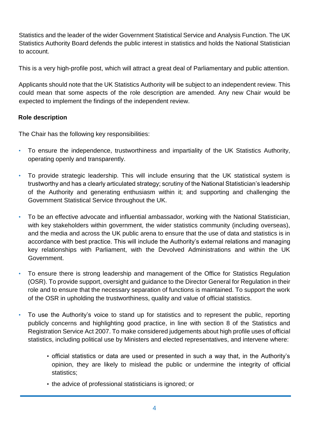Statistics and the leader of the wider Government Statistical Service and Analysis Function. The UK Statistics Authority Board defends the public interest in statistics and holds the National Statistician to account.

This is a very high-profile post, which will attract a great deal of Parliamentary and public attention.

Applicants should note that the UK Statistics Authority will be subject to an independent review. This could mean that some aspects of the role description are amended. Any new Chair would be expected to implement the findings of the independent review.

#### **Role description**

The Chair has the following key responsibilities:

- To ensure the independence, trustworthiness and impartiality of the UK Statistics Authority, operating openly and transparently.
- To provide strategic leadership. This will include ensuring that the UK statistical system is trustworthy and has a clearly articulated strategy; scrutiny of the National Statistician's leadership of the Authority and generating enthusiasm within it; and supporting and challenging the Government Statistical Service throughout the UK.
- To be an effective advocate and influential ambassador, working with the National Statistician, with key stakeholders within government, the wider statistics community (including overseas), and the media and across the UK public arena to ensure that the use of data and statistics is in accordance with best practice. This will include the Authority's external relations and managing key relationships with Parliament, with the Devolved Administrations and within the UK Government.
- To ensure there is strong leadership and management of the Office for Statistics Regulation (OSR). To provide support, oversight and guidance to the Director General for Regulation in their role and to ensure that the necessary separation of functions is maintained. To support the work of the OSR in upholding the trustworthiness, quality and value of official statistics.
- To use the Authority's voice to stand up for statistics and to represent the public, reporting publicly concerns and highlighting good practice, in line with section 8 of the Statistics and Registration Service Act 2007. To make considered judgements about high profile uses of official statistics, including political use by Ministers and elected representatives, and intervene where:
	- official statistics or data are used or presented in such a way that, in the Authority's opinion, they are likely to mislead the public or undermine the integrity of official statistics;
	- the advice of professional statisticians is ignored; or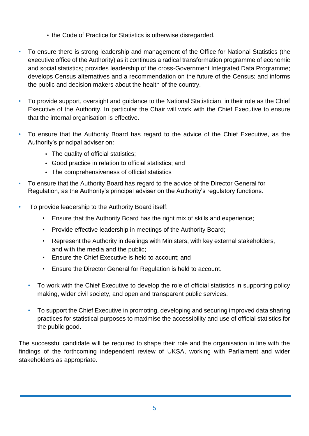- the Code of Practice for Statistics is otherwise disregarded.
- To ensure there is strong leadership and management of the Office for National Statistics (the executive office of the Authority) as it continues a radical transformation programme of economic and social statistics; provides leadership of the cross-Government Integrated Data Programme; develops Census alternatives and a recommendation on the future of the Census; and informs the public and decision makers about the health of the country.
- To provide support, oversight and guidance to the National Statistician, in their role as the Chief Executive of the Authority. In particular the Chair will work with the Chief Executive to ensure that the internal organisation is effective.
- To ensure that the Authority Board has regard to the advice of the Chief Executive, as the Authority's principal adviser on:
	- The quality of official statistics;
	- Good practice in relation to official statistics; and
	- The comprehensiveness of official statistics
- To ensure that the Authority Board has regard to the advice of the Director General for Regulation, as the Authority's principal adviser on the Authority's regulatory functions.
- To provide leadership to the Authority Board itself:
	- Ensure that the Authority Board has the right mix of skills and experience;
	- Provide effective leadership in meetings of the Authority Board;
	- Represent the Authority in dealings with Ministers, with key external stakeholders, and with the media and the public;
	- Ensure the Chief Executive is held to account; and
	- Ensure the Director General for Regulation is held to account.
	- To work with the Chief Executive to develop the role of official statistics in supporting policy making, wider civil society, and open and transparent public services.
	- To support the Chief Executive in promoting, developing and securing improved data sharing practices for statistical purposes to maximise the accessibility and use of official statistics for the public good.

<span id="page-5-0"></span>The successful candidate will be required to shape their role and the organisation in line with the findings of the forthcoming independent review of UKSA, working with Parliament and wider stakeholders as appropriate.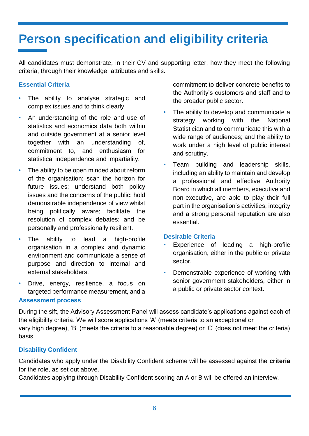### <span id="page-6-0"></span>**Person specification and eligibility criteria**

All candidates must demonstrate, in their CV and supporting letter, how they meet the following criteria, through their knowledge, attributes and skills.

#### **Essential Criteria**

- The ability to analyse strategic and complex issues and to think clearly.
- An understanding of the role and use of statistics and economics data both within and outside government at a senior level together with an understanding of, commitment to, and enthusiasm for statistical independence and impartiality.
- The ability to be open minded about reform of the organisation; scan the horizon for future issues; understand both policy issues and the concerns of the public; hold demonstrable independence of view whilst being politically aware; facilitate the resolution of complex debates; and be personally and professionally resilient.
- The ability to lead a high-profile organisation in a complex and dynamic environment and communicate a sense of purpose and direction to internal and external stakeholders.
- Drive, energy, resilience, a focus on targeted performance measurement, and a

commitment to deliver concrete benefits to the Authority's customers and staff and to the broader public sector.

- The ability to develop and communicate a strategy working with the National Statistician and to communicate this with a wide range of audiences; and the ability to work under a high level of public interest and scrutiny.
- Team building and leadership skills, including an ability to maintain and develop a professional and effective Authority Board in which all members, executive and non-executive, are able to play their full part in the organisation's activities; integrity and a strong personal reputation are also essential.

#### **Desirable Criteria**

- Experience of leading a high-profile organisation, either in the public or private sector.
- Demonstrable experience of working with senior government stakeholders, either in a public or private sector context.

#### **Assessment process**

During the sift, the Advisory Assessment Panel will assess candidate's applications against each of the eligibility criteria. We will score applications 'A' (meets criteria to an exceptional or very high degree), 'B' (meets the criteria to a reasonable degree) or 'C' (does not meet the criteria) basis.

#### **Disability Confident**

Candidates who apply under the Disability Confident scheme will be assessed against the **criteria**  for the role, as set out above.

Candidates applying through Disability Confident scoring an A or B will be offered an interview.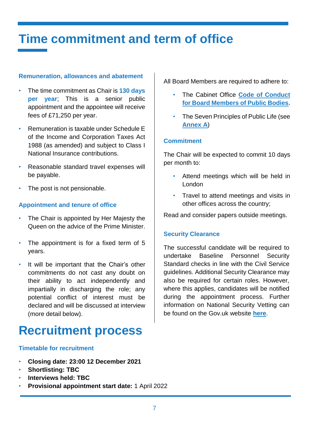### <span id="page-7-0"></span>**Time commitment and term of office**

#### **Remuneration, allowances and abatement**

- The time commitment as Chair is **130 days per year**; This is a senior public appointment and the appointee will receive fees of £71,250 per year.
- Remuneration is taxable under Schedule E of the Income and Corporation Taxes Act 1988 (as amended) and subject to Class I National Insurance contributions.
- Reasonable standard travel expenses will be payable.
- The post is not pensionable.

#### **Appointment and tenure of office**

- The Chair is appointed by Her Majesty the Queen on the advice of the Prime Minister.
- The appointment is for a fixed term of 5 years.
- It will be important that the Chair's other commitments do not cast any doubt on their ability to act independently and impartially in discharging the role; any potential conflict of interest must be declared and will be discussed at interview (more detail below).

### <span id="page-7-1"></span>**Recruitment process**

#### **Timetable for recruitment**

- **Closing date: 23:00 12 December 2021**
- **Shortlisting: TBC**
- **Interviews held: TBC**
- **Provisional appointment start date:** 1 April 2022

All Board Members are required to adhere to:

- The Cabinet Office **[Code of Conduct](https://www.gov.uk/government/publications/code-of-conduct-for-board-members-of-public-bodies)  [for Board Members of Public Bodies.](https://www.gov.uk/government/publications/code-of-conduct-for-board-members-of-public-bodies)**
- The Seven Principles of Public Life (see **[Annex](#page-16-0) A**)

#### **Commitment**

The Chair will be expected to commit 10 days per month to:

- Attend meetings which will be held in London
- Travel to attend meetings and visits in other offices across the country;

Read and consider papers outside meetings.

#### **Security Clearance**

The successful candidate will be required to undertake Baseline Personnel Security Standard checks in line with the Civil Service guidelines. Additional Security Clearance may also be required for certain roles. However, where this applies, candidates will be notified during the appointment process. Further information on National Security Vetting can be found on the Gov.uk website **[here](https://www.gov.uk/government/publications/united-kingdom-security-vetting-clearance-levels/national-security-vetting-clearance-levels)**.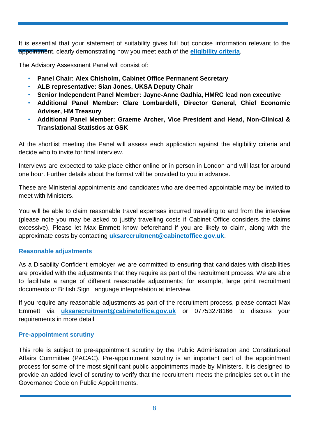It is essential that your statement of suitability gives full but concise information relevant to the appointment, clearly demonstrating how you meet each of the **[eligibility](#page-6-0) criteria**.

The Advisory Assessment Panel will consist of:

- **Panel Chair: Alex Chisholm, Cabinet Office Permanent Secretary**
- **ALB representative: Sian Jones, UKSA Deputy Chair**
- **Senior Independent Panel Member: Jayne-Anne Gadhia, HMRC lead non executive**
- **Additional Panel Member: Clare Lombardelli, Director General, Chief Economic Adviser, HM Treasury**
- **Additional Panel Member: Graeme Archer, Vice President and Head, Non-Clinical & Translational Statistics at GSK**

At the shortlist meeting the Panel will assess each application against the eligibility criteria and decide who to invite for final interview.

Interviews are expected to take place either online or in person in London and will last for around one hour. Further details about the format will be provided to you in advance.

These are Ministerial appointments and candidates who are deemed appointable may be invited to meet with Ministers.

You will be able to claim reasonable travel expenses incurred travelling to and from the interview (please note you may be asked to justify travelling costs if Cabinet Office considers the claims excessive). Please let Max Emmett know beforehand if you are likely to claim, along with the approximate costs by contacting **[uksarecruitment@cabinetoffice.gov.uk](mailto:uksarecruitment@cabinetoffice.gov.uk)**.

#### **Reasonable adjustments**

As a Disability Confident employer we are committed to ensuring that candidates with disabilities are provided with the adjustments that they require as part of the recruitment process. We are able to facilitate a range of different reasonable adjustments; for example, large print recruitment documents or British Sign Language interpretation at interview.

If you require any reasonable adjustments as part of the recruitment process, please contact Max Emmett via **[uksarecruitment@cabinetoffice.gov.uk](mailto:uksarecruitment@cabinetoffice.gov.uk)** or 07753278166 to discuss your requirements in more detail.

#### **Pre-appointment scrutiny**

This role is subject to pre-appointment scrutiny by the Public Administration and Constitutional Affairs Committee (PACAC). Pre-appointment scrutiny is an important part of the appointment process for some of the most significant public appointments made by Ministers. It is designed to provide an added level of scrutiny to verify that the recruitment meets the principles set out in the Governance Code on Public Appointments.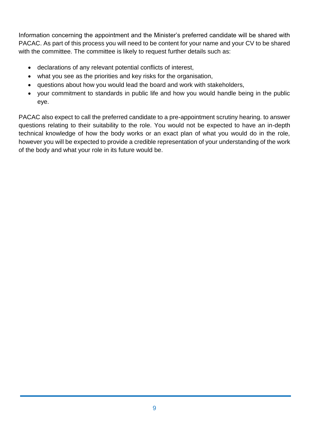Information concerning the appointment and the Minister's preferred candidate will be shared with PACAC. As part of this process you will need to be content for your name and your CV to be shared with the committee. The committee is likely to request further details such as:

- declarations of any relevant potential conflicts of interest,
- what you see as the priorities and key risks for the organisation,
- questions about how you would lead the board and work with stakeholders,
- <span id="page-9-0"></span>• your commitment to standards in public life and how you would handle being in the public eye.

PACAC also expect to call the preferred candidate to a pre-appointment scrutiny hearing. to answer questions relating to their suitability to the role. You would not be expected to have an in-depth technical knowledge of how the body works or an exact plan of what you would do in the role, however you will be expected to provide a credible representation of your understanding of the work of the body and what your role in its future would be.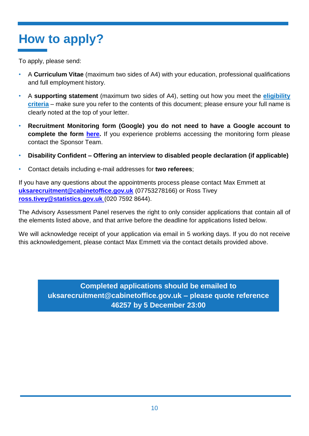# <span id="page-10-0"></span>**How to apply?**

To apply, please send:

- A **Curriculum Vitae** (maximum two sides of A4) with your education, professional qualifications and full employment history.
- A **supporting statement** (maximum two sides of A4), setting out how you meet the **[eligibility](#page-6-0)  [criteria](#page-6-0)** – make sure you refer to the contents of this document; please ensure your full name is clearly noted at the top of your letter.
- **Recruitment Monitoring form (Google) you do not need to have a Google account to complete the form [here.](https://docs.google.com/forms/d/18CMI1hmmQNjftZgnBL-ZD6S5o8kMNVyznZ-lfRGlcQA/edit)** If you experience problems accessing the monitoring form please contact the Sponsor Team.
- **Disability Confident – Offering an interview to disabled people declaration (if applicable)**
- Contact details including e-mail addresses for **two referees**;

If you have any questions about the appointments process please contact Max Emmett at **[uksarecruitment@cabinetoffice.gov.uk](mailto:uksarecruitment@cabinetoffice.gov.uk)** (07753278166) or Ross Tivey **[ross.tivey@statistics.gov.uk](mailto:ross.tivey@statistics.gov.uk)** (020 7592 8644).

The Advisory Assessment Panel reserves the right to only consider applications that contain all of the elements listed above, and that arrive before the deadline for applications listed below.

We will acknowledge receipt of your application via email in 5 working days. If you do not receive this acknowledgement, please contact Max Emmett via the contact details provided above.

> **Completed applications should be emailed to uksarecruitment@cabinetoffice.gov.uk – please quote reference 46257 by 5 December 23:00**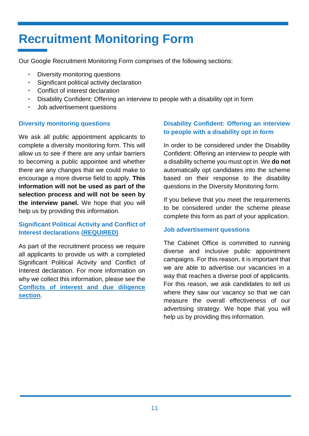### <span id="page-11-0"></span>**Recruitment Monitoring Form**

Our Google Recruitment Monitoring Form comprises of the following sections:

- Diversity monitoring questions
- Significant political activity declaration
- Conflict of interest declaration
- Disability Confident: Offering an interview to people with a disability opt in form
- Job advertisement questions

#### **Diversity monitoring questions**

We ask all public appointment applicants to complete a diversity monitoring form. This will allow us to see if there are any unfair barriers to becoming a public appointee and whether there are any changes that we could make to encourage a more diverse field to apply. **This information will not be used as part of the selection process and will not be seen by the interview panel.** We hope that you will help us by providing this information.

#### **Significant Political Activity and Conflict of Interest declarations (REQUIRED)**

As part of the recruitment process we require all applicants to provide us with a completed Significant Political Activity and Conflict of Interest declaration. For more information on why we collect this information, please see the **[Conflicts of interest and due diligence](#page-13-1)  [section](#page-13-1)**.

#### **Disability Confident: Offering an interview to people with a disability opt in form**

In order to be considered under the Disability Confident: Offering an interview to people with a disability scheme you must opt in. We **do not** automatically opt candidates into the scheme based on their response to the disability questions in the Diversity Monitoring form.

If you believe that you meet the requirements to be considered under the scheme please complete this form as part of your application.

#### **Job advertisement questions**

The Cabinet Office is committed to running diverse and inclusive public appointment campaigns. For this reason, it is important that we are able to advertise our vacancies in a way that reaches a diverse pool of applicants. For this reason, we ask candidates to tell us where they saw our vacancy so that we can measure the overall effectiveness of our advertising strategy. We hope that you will help us by providing this information.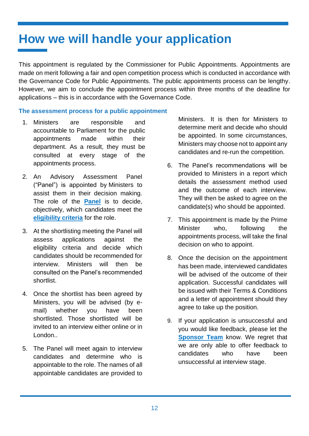### <span id="page-12-0"></span>**How we will handle your application**

This appointment is regulated by the Commissioner for Public Appointments. Appointments are made on merit following a fair and open competition process which is conducted in accordance with the Governance Code for Public Appointments. The public appointments process can be lengthy. However, we aim to conclude the appointment process within three months of the deadline for applications – this is in accordance with the Governance Code.

#### **The assessment process for a public appointment**

- 1. Ministers are responsible and accountable to Parliament for the public appointments made within their department. As a result, they must be consulted at every stage of the appointments process.
- 2. An Advisory Assessment Panel ("Panel") is appointed by Ministers to assist them in their decision making. The role of the **[Panel](#page-7-1)** is to decide, objectively, which candidates meet the **[eligibility criteria](#page-6-0)** for the role.
- 3. At the shortlisting meeting the Panel will assess applications against the eligibility criteria and decide which candidates should be recommended for interview. Ministers will then be consulted on the Panel's recommended shortlist.
- 4. Once the shortlist has been agreed by Ministers, you will be advised (by email) whether you have been shortlisted. Those shortlisted will be invited to an interview either online or in London..
- 5. The Panel will meet again to interview candidates and determine who is appointable to the role. The names of all appointable candidates are provided to

Ministers. It is then for Ministers to determine merit and decide who should be appointed. In some circumstances, Ministers may choose not to appoint any candidates and re-run the competition.

- 6. The Panel's recommendations will be provided to Ministers in a report which details the assessment method used and the outcome of each interview. They will then be asked to agree on the candidate(s) who should be appointed.
- 7. This appointment is made by the Prime Minister who, following the appointments process, will take the final decision on who to appoint.
- 8. Once the decision on the appointment has been made, interviewed candidates will be advised of the outcome of their application. Successful candidates will be issued with their Terms & Conditions and a letter of appointment should they agree to take up the position.
- 9. If your application is unsuccessful and you would like feedback, please let the **[Sponsor Team](#page-10-0)** know. We regret that we are only able to offer feedback to candidates who have been unsuccessful at interview stage.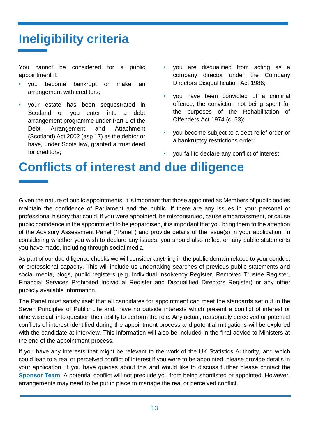# <span id="page-13-1"></span><span id="page-13-0"></span>**Ineligibility criteria**

You cannot be considered for a public appointment if:

- you become bankrupt or make an arrangement with creditors;
- your estate has been sequestrated in Scotland or you enter into a debt arrangement programme under Part 1 of the Debt Arrangement and Attachment (Scotland) Act 2002 (asp 17) as the debtor or have, under Scots law, granted a trust deed for creditors;
- you are disqualified from acting as a company director under the Company Directors Disqualification Act 1986;
- you have been convicted of a criminal offence, the conviction not being spent for the purposes of the Rehabilitation of Offenders Act 1974 (c. 53);
- you become subject to a debt relief order or a bankruptcy restrictions order;
- you fail to declare any conflict of interest.

### **Conflicts of interest and due diligence**

Given the nature of public appointments, it is important that those appointed as Members of public bodies maintain the confidence of Parliament and the public. If there are any issues in your personal or professional history that could, if you were appointed, be misconstrued, cause embarrassment, or cause public confidence in the appointment to be jeopardised, it is important that you bring them to the attention of the Advisory Assessment Panel ("Panel") and provide details of the issue(s) in your application. In considering whether you wish to declare any issues, you should also reflect on any public statements you have made, including through social media.

As part of our due diligence checks we will consider anything in the public domain related to your conduct or professional capacity. This will include us undertaking searches of previous public statements and social media, blogs, public registers (e.g. Individual Insolvency Register, Removed Trustee Register, Financial Services Prohibited Individual Register and Disqualified Directors Register) or any other publicly available information.

The Panel must satisfy itself that all candidates for appointment can meet the standards set out in the Seven Principles of Public Life and, have no outside interests which present a conflict of interest or otherwise call into question their ability to perform the role. Any actual, reasonably perceived or potential conflicts of interest identified during the appointment process and potential mitigations will be explored with the candidate at interview. This information will also be included in the final advice to Ministers at the end of the appointment process.

If you have any interests that might be relevant to the work of the UK Statistics Authority, and which could lead to a real or perceived conflict of interest if you were to be appointed, please provide details in your application. If you have queries about this and would like to discuss further please contact the **[Sponsor Team](#page-10-0).** A potential conflict will not preclude you from being shortlisted or appointed. However, arrangements may need to be put in place to manage the real or perceived conflict.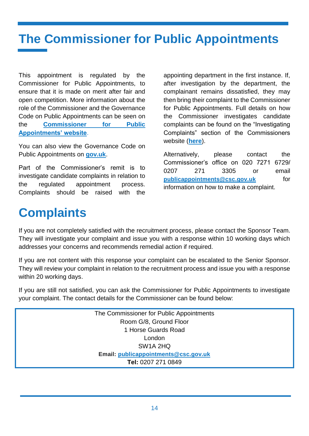# <span id="page-14-0"></span>**The Commissioner for Public Appointments**

This appointment is regulated by the Commissioner for Public Appointments, to ensure that it is made on merit after fair and open competition. More information about the role of the Commissioner and the Governance Code on Public Appointments can be seen on the **[Commissioner for Public](http://publicappointmentscommissioner.independent.gov.uk/)  [Appointments' website](http://publicappointmentscommissioner.independent.gov.uk/)**.

You can also view the Governance Code on Public Appointments on **[gov.uk](https://assets.publishing.service.gov.uk/government/uploads/system/uploads/attachment_data/file/578498/governance_code_on_public_appointments_16_12_2016.pdf)**.

Part of the Commissioner's remit is to investigate candidate complaints in relation to the regulated appointment process. Complaints should be raised with the

appointing department in the first instance. If, after investigation by the department, the complainant remains dissatisfied, they may then bring their complaint to the Commissioner for Public Appointments. Full details on how the Commissioner investigates candidate complaints can be found on the "Investigating Complaints" section of the Commissioners website (**[here](https://publicappointmentscommissioner.independent.gov.uk/regulating-appointments/investigating-complaints/)**).

Alternatively, please contact the Commissioner's office on 020 7271 6729/ 0207 271 3305 or email **[publicappointments@csc.gov.uk](mailto:publicappointments@csc.gov.uk)** for information on how to make a complaint.

### <span id="page-14-1"></span>**Complaints**

If you are not completely satisfied with the recruitment process, please contact the Sponsor Team. They will investigate your complaint and issue you with a response within 10 working days which addresses your concerns and recommends remedial action if required.

If you are not content with this response your complaint can be escalated to the Senior Sponsor. They will review your complaint in relation to the recruitment process and issue you with a response within 20 working days.

If you are still not satisfied, you can ask the Commissioner for Public Appointments to investigate your complaint. The contact details for the Commissioner can be found below:

> The Commissioner for Public Appointments Room G/8, Ground Floor 1 Horse Guards Road London SW1A 2HQ **Email: [publicappointments@csc.gov.uk](mailto:publicappointments@csc.gov.uk) Tel:** 0207 271 0849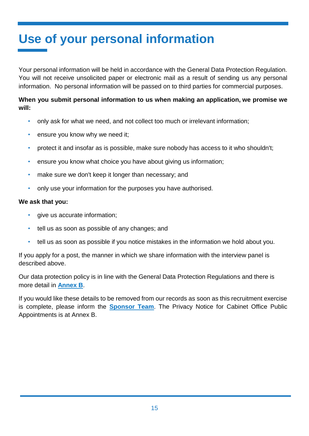# <span id="page-15-0"></span>**Use of your personal information**

Your personal information will be held in accordance with the General Data Protection Regulation. You will not receive unsolicited paper or electronic mail as a result of sending us any personal information. No personal information will be passed on to third parties for commercial purposes.

#### **When you submit personal information to us when making an application, we promise we will:**

- only ask for what we need, and not collect too much or irrelevant information;
- ensure you know why we need it:
- protect it and insofar as is possible, make sure nobody has access to it who shouldn't;
- ensure you know what choice you have about giving us information;
- make sure we don't keep it longer than necessary; and
- only use your information for the purposes you have authorised.

#### **We ask that you:**

- qive us accurate information:
- tell us as soon as possible of any changes; and
- tell us as soon as possible if you notice mistakes in the information we hold about you.

If you apply for a post, the manner in which we share information with the interview panel is described above.

Our data protection policy is in line with the General Data Protection Regulations and there is more detail in **[Annex B](#page-17-0)**.

If you would like these details to be removed from our records as soon as this recruitment exercise is complete, please inform the **[Sponsor Team](#page-10-0)**. The Privacy Notice for Cabinet Office Public Appointments is at Annex B.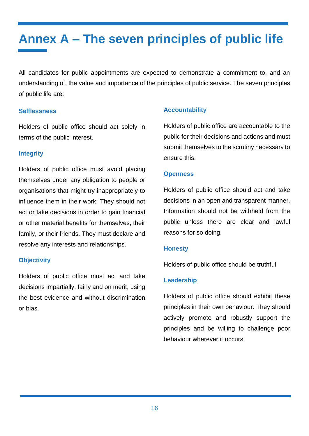# <span id="page-16-0"></span>**Annex A – The seven principles of public life**

All candidates for public appointments are expected to demonstrate a commitment to, and an understanding of, the value and importance of the principles of public service. The seven principles of public life are:

#### **Selflessness**

Holders of public office should act solely in terms of the public interest.

#### **Integrity**

Holders of public office must avoid placing themselves under any obligation to people or organisations that might try inappropriately to influence them in their work. They should not act or take decisions in order to gain financial or other material benefits for themselves, their family, or their friends. They must declare and resolve any interests and relationships.

#### **Objectivity**

Holders of public office must act and take decisions impartially, fairly and on merit, using the best evidence and without discrimination or bias.

#### **Accountability**

Holders of public office are accountable to the public for their decisions and actions and must submit themselves to the scrutiny necessary to ensure this.

#### **Openness**

Holders of public office should act and take decisions in an open and transparent manner. Information should not be withheld from the public unless there are clear and lawful reasons for so doing.

#### **Honesty**

Holders of public office should be truthful.

#### **Leadership**

Holders of public office should exhibit these principles in their own behaviour. They should actively promote and robustly support the principles and be willing to challenge poor behaviour wherever it occurs.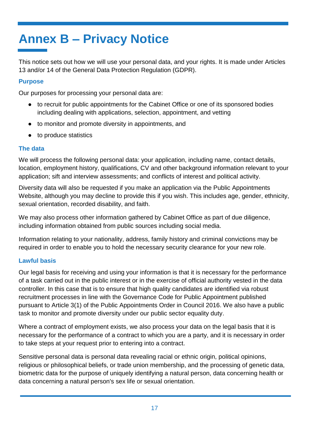# <span id="page-17-0"></span>**Annex B – Privacy Notice**

This notice sets out how we will use your personal data, and your rights. It is made under Articles 13 and/or 14 of the General Data Protection Regulation (GDPR).

#### **Purpose**

Our purposes for processing your personal data are:

- to recruit for public appointments for the Cabinet Office or one of its sponsored bodies including dealing with applications, selection, appointment, and vetting
- to monitor and promote diversity in appointments, and
- to produce statistics

#### **The data**

We will process the following personal data: your application, including name, contact details, location, employment history, qualifications, CV and other background information relevant to your application; sift and interview assessments; and conflicts of interest and political activity.

Diversity data will also be requested if you make an application via the Public Appointments Website, although you may decline to provide this if you wish. This includes age, gender, ethnicity, sexual orientation, recorded disability, and faith.

We may also process other information gathered by Cabinet Office as part of due diligence, including information obtained from public sources including social media.

Information relating to your nationality, address, family history and criminal convictions may be required in order to enable you to hold the necessary security clearance for your new role.

#### **Lawful basis**

Our legal basis for receiving and using your information is that it is necessary for the performance of a task carried out in the public interest or in the exercise of official authority vested in the data controller. In this case that is to ensure that high quality candidates are identified via robust recruitment processes in line with the Governance Code for Public Appointment published pursuant to Article 3(1) of the Public Appointments Order in Council 2016. We also have a public task to monitor and promote diversity under our public sector equality duty.

Where a contract of employment exists, we also process your data on the legal basis that it is necessary for the performance of a contract to which you are a party, and it is necessary in order to take steps at your request prior to entering into a contract.

Sensitive personal data is personal data revealing racial or ethnic origin, political opinions, religious or philosophical beliefs, or trade union membership, and the processing of genetic data, biometric data for the purpose of uniquely identifying a natural person, data concerning health or data concerning a natural person's sex life or sexual orientation.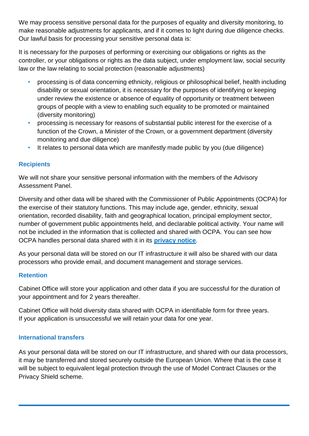We may process sensitive personal data for the purposes of equality and diversity monitoring, to make reasonable adjustments for applicants, and if it comes to light during due diligence checks. Our lawful basis for processing your sensitive personal data is:

It is necessary for the purposes of performing or exercising our obligations or rights as the controller, or your obligations or rights as the data subject, under employment law, social security law or the law relating to social protection (reasonable adjustments)

- processing is of data concerning ethnicity, religious or philosophical belief, health including disability or sexual orientation, it is necessary for the purposes of identifying or keeping under review the existence or absence of equality of opportunity or treatment between groups of people with a view to enabling such equality to be promoted or maintained (diversity monitoring)
- processing is necessary for reasons of substantial public interest for the exercise of a function of the Crown, a Minister of the Crown, or a government department (diversity monitoring and due diligence)
- It relates to personal data which are manifestly made public by you (due diligence)

#### **Recipients**

We will not share your sensitive personal information with the members of the Advisory Assessment Panel.

Diversity and other data will be shared with the Commissioner of Public Appointments (OCPA) for the exercise of their statutory functions. This may include age, gender, ethnicity, sexual orientation, recorded disability, faith and geographical location, principal employment sector, number of government public appointments held, and declarable political activity. Your name will not be included in the information that is collected and shared with OCPA. You can see how OCPA handles personal data shared with it in its **[privacy notice](https://publicappointmentscommissioner.independent.gov.uk/privacy-and-cookies-policy/)**.

As your personal data will be stored on our IT infrastructure it will also be shared with our data processors who provide email, and document management and storage services.

#### **Retention**

Cabinet Office will store your application and other data if you are successful for the duration of your appointment and for 2 years thereafter.

Cabinet Office will hold diversity data shared with OCPA in identifiable form for three years. If your application is unsuccessful we will retain your data for one year.

#### **International transfers**

As your personal data will be stored on our IT infrastructure, and shared with our data processors, it may be transferred and stored securely outside the European Union. Where that is the case it will be subject to equivalent legal protection through the use of Model Contract Clauses or the Privacy Shield scheme.